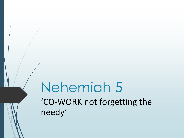# Nehemiah 5 'CO-WORK not forgetting the needy'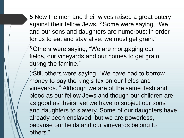**5** Now the men and their wives raised a great outcry against their fellow Jews. **<sup>2</sup>** Some were saying, "We and our sons and daughters are numerous; in order for us to eat and stay alive, we must get grain."

**<sup>3</sup>** Others were saying, "We are mortgaging our fields, our vineyards and our homes to get grain during the famine."

**<sup>4</sup>** Still others were saying, "We have had to borrow money to pay the king's tax on our fields and vineyards. **<sup>5</sup>** Although we are of the same flesh and blood as our fellow Jews and though our children are as good as theirs, yet we have to subject our sons and daughters to slavery. Some of our daughters have already been enslaved, but we are powerless, because our fields and our vineyards belong to others."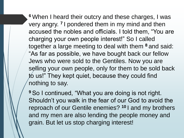**<sup>6</sup>** When I heard their outcry and these charges, I was very angry. **<sup>7</sup>** I pondered them in my mind and then accused the nobles and officials. I told them, "You are charging your own people interest!" So I called together a large meeting to deal with them **<sup>8</sup>** and said: "As far as possible, we have bought back our fellow Jews who were sold to the Gentiles. Now you are selling your own people, only for them to be sold back to us!" They kept quiet, because they could find nothing to say.

**<sup>9</sup>** So I continued, "What you are doing is not right. Shouldn't you walk in the fear of our God to avoid the reproach of our Gentile enemies? **<sup>10</sup>** I and my brothers and my men are also lending the people money and grain. But let us stop charging interest!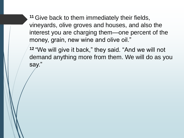**<sup>11</sup>** Give back to them immediately their fields, vineyards, olive groves and houses, and also the interest you are charging them—one percent of the money, grain, new wine and olive oil."

**<sup>12</sup>** "We will give it back," they said. "And we will not demand anything more from them. We will do as you say."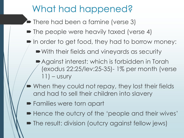### What had happened?

- There had been a famine (verse 3)
- The people were heavily taxed (verse 4)
- $\blacktriangleright$  In order to get food, they had to borrow money:
	- With their fields and vineyards as security
	- Against interest: which is forbidden in Torah (exodus 22:25/lev:25-35)- 1% per month (verse  $11$ ) – usury
- When they could not repay, they lost their fields and had to sell their children into slavery
- **Families were torn apart**
- Hence the outcry of the 'people and their wives'
- The result: division (outcry against fellow jews)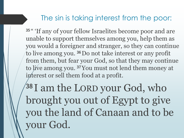#### The sin is taking interest from the poor:

<sup>35</sup>" 'If any of your fellow Israelites become poor and are unable to support themselves among you, help them as you would a foreigner and stranger, so they can continue to live among you.<sup>36</sup> Do not take interest or any profit from them, but fear your God, so that they may continue to live among you. <sup>37</sup> You must not lend them money at interest or sell them food at a profit.

38 I am the LORD your God, who brought you out of Egypt to give you the land of Canaan and to be your God.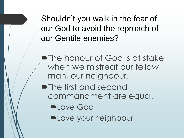Shouldn't you walk in the fear of our God to avoid the reproach of our Gentile enemies?

The honour of God is at stake when we mistreat our fellow man, our neighbour.

**•The first and second** commandment are equal!

- **DLove God**
- **DLove your neighbour**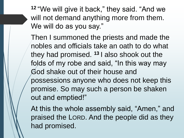**<sup>12</sup>** "We will give it back," they said. "And we will not demand anything more from them. We will do as you say."

Then I summoned the priests and made the nobles and officials take an oath to do what they had promised. **<sup>13</sup>** I also shook out the folds of my robe and said, "In this way may God shake out of their house and possessions anyone who does not keep this promise. So may such a person be shaken out and emptied!"

At this the whole assembly said, "Amen," and praised the LORD. And the people did as they had promised.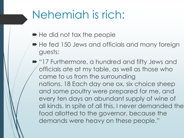# Nehemiah is rich:

- $\blacktriangleright$  He did not tax the people
- $\blacksquare$  He fed 150 Jews and officials and many foreign guests:
- **17 Furthermore, a hundred and fifty Jews and** officials ate at my table, as well as those who came to us from the surrounding nations. 18 Each day one ox, six choice sheep and some poultry were prepared for me, and every ten days an abundant supply of wine of all kinds. In spite of all this, I never demanded the food allotted to the governor, because the demands were heavy on these people."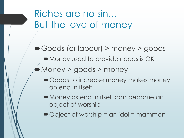Riches are no sin… But the love of money

Goods (or labour) > money > goods

Money used to provide needs is OK

Money > goods > money

- Goods to increase money makes money an end in itself
- Money as end in itself can become an object of worship
- ■Object of worship = an idol = mammon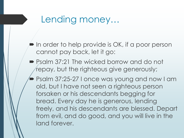#### Lending money…

- $\blacktriangleright$  In order to help provide is OK, if a poor person cannot pay back, let it go:
- Psalm 37:21 The wicked borrow and do not repay, but the righteous give generously;
	- Psalm 37:25-27 I once was young and now I am old, but I have not seen a righteous person forsaken or his descendants begging for bread. Every day he is generous, lending freely, and his descendants are blessed. Depart from evil, and do good, and you will live in the land forever.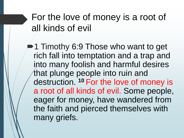# For the love of money is a root of all kinds of evil

1 Timothy 6:9 Those who want to get rich fall into temptation and a trap and into many foolish and harmful desires that plunge people into ruin and destruction. **<sup>10</sup>** For the love of money is a root of all kinds of evil. Some people, eager for money, have wandered from the faith and pierced themselves with many griefs.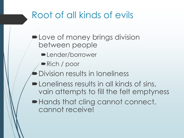# Root of all kinds of evils

- Love of money brings division between people
	- **-Lender/borrower**
	- Rich / poor
- Division results in loneliness
- **-Loneliness results in all kinds of sins,** vain attempts to fill the felt emptyness
- $\blacktriangleright$  Hands that cling cannot connect, cannot receive!